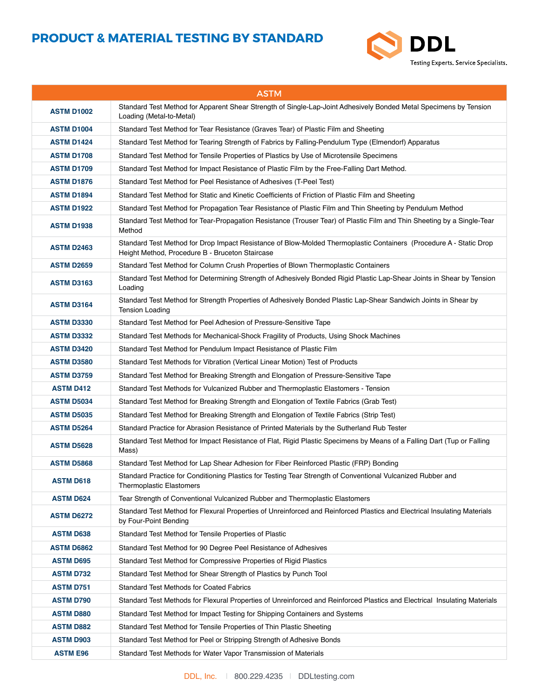

| <b>ASTM</b>       |                                                                                                                                                                       |
|-------------------|-----------------------------------------------------------------------------------------------------------------------------------------------------------------------|
| <b>ASTM D1002</b> | Standard Test Method for Apparent Shear Strength of Single-Lap-Joint Adhesively Bonded Metal Specimens by Tension<br>Loading (Metal-to-Metal)                         |
| <b>ASTM D1004</b> | Standard Test Method for Tear Resistance (Graves Tear) of Plastic Film and Sheeting                                                                                   |
| <b>ASTM D1424</b> | Standard Test Method for Tearing Strength of Fabrics by Falling-Pendulum Type (Elmendorf) Apparatus                                                                   |
| <b>ASTM D1708</b> | Standard Test Method for Tensile Properties of Plastics by Use of Microtensile Specimens                                                                              |
| <b>ASTM D1709</b> | Standard Test Method for Impact Resistance of Plastic Film by the Free-Falling Dart Method.                                                                           |
| <b>ASTM D1876</b> | Standard Test Method for Peel Resistance of Adhesives (T-Peel Test)                                                                                                   |
| <b>ASTM D1894</b> | Standard Test Method for Static and Kinetic Coefficients of Friction of Plastic Film and Sheeting                                                                     |
| <b>ASTM D1922</b> | Standard Test Method for Propagation Tear Resistance of Plastic Film and Thin Sheeting by Pendulum Method                                                             |
| <b>ASTM D1938</b> | Standard Test Method for Tear-Propagation Resistance (Trouser Tear) of Plastic Film and Thin Sheeting by a Single-Tear<br>Method                                      |
| <b>ASTM D2463</b> | Standard Test Method for Drop Impact Resistance of Blow-Molded Thermoplastic Containers (Procedure A - Static Drop<br>Height Method, Procedure B - Bruceton Staircase |
| <b>ASTM D2659</b> | Standard Test Method for Column Crush Properties of Blown Thermoplastic Containers                                                                                    |
| <b>ASTM D3163</b> | Standard Test Method for Determining Strength of Adhesively Bonded Rigid Plastic Lap-Shear Joints in Shear by Tension<br>Loading                                      |
| <b>ASTM D3164</b> | Standard Test Method for Strength Properties of Adhesively Bonded Plastic Lap-Shear Sandwich Joints in Shear by<br><b>Tension Loading</b>                             |
| <b>ASTM D3330</b> | Standard Test Method for Peel Adhesion of Pressure-Sensitive Tape                                                                                                     |
| <b>ASTM D3332</b> | Standard Test Methods for Mechanical-Shock Fragility of Products, Using Shock Machines                                                                                |
| <b>ASTM D3420</b> | Standard Test Method for Pendulum Impact Resistance of Plastic Film                                                                                                   |
| <b>ASTM D3580</b> | Standard Test Methods for Vibration (Vertical Linear Motion) Test of Products                                                                                         |
| <b>ASTM D3759</b> | Standard Test Method for Breaking Strength and Elongation of Pressure-Sensitive Tape                                                                                  |
| <b>ASTM D412</b>  | Standard Test Methods for Vulcanized Rubber and Thermoplastic Elastomers - Tension                                                                                    |
| <b>ASTM D5034</b> | Standard Test Method for Breaking Strength and Elongation of Textile Fabrics (Grab Test)                                                                              |
| <b>ASTM D5035</b> | Standard Test Method for Breaking Strength and Elongation of Textile Fabrics (Strip Test)                                                                             |
| <b>ASTM D5264</b> | Standard Practice for Abrasion Resistance of Printed Materials by the Sutherland Rub Tester                                                                           |
| <b>ASTM D5628</b> | Standard Test Method for Impact Resistance of Flat, Rigid Plastic Specimens by Means of a Falling Dart (Tup or Falling<br>Mass)                                       |
| <b>ASTM D5868</b> | Standard Test Method for Lap Shear Adhesion for Fiber Reinforced Plastic (FRP) Bonding                                                                                |
| <b>ASTM D618</b>  | Standard Practice for Conditioning Plastics for Testing Tear Strength of Conventional Vulcanized Rubber and<br><b>Thermoplastic Elastomers</b>                        |
| <b>ASTM D624</b>  | Tear Strength of Conventional Vulcanized Rubber and Thermoplastic Elastomers                                                                                          |
| <b>ASTM D6272</b> | Standard Test Method for Flexural Properties of Unreinforced and Reinforced Plastics and Electrical Insulating Materials<br>by Four-Point Bending                     |
| <b>ASTM D638</b>  | Standard Test Method for Tensile Properties of Plastic                                                                                                                |
| <b>ASTM D6862</b> | Standard Test Method for 90 Degree Peel Resistance of Adhesives                                                                                                       |
| <b>ASTM D695</b>  | Standard Test Method for Compressive Properties of Rigid Plastics                                                                                                     |
| <b>ASTM D732</b>  | Standard Test Method for Shear Strength of Plastics by Punch Tool                                                                                                     |
| <b>ASTM D751</b>  | <b>Standard Test Methods for Coated Fabrics</b>                                                                                                                       |
| <b>ASTM D790</b>  | Standard Test Methods for Flexural Properties of Unreinforced and Reinforced Plastics and Electrical Insulating Materials                                             |
| <b>ASTM D880</b>  | Standard Test Method for Impact Testing for Shipping Containers and Systems                                                                                           |
| <b>ASTM D882</b>  | Standard Test Method for Tensile Properties of Thin Plastic Sheeting                                                                                                  |
| <b>ASTM D903</b>  | Standard Test Method for Peel or Stripping Strength of Adhesive Bonds                                                                                                 |
| <b>ASTM E96</b>   | Standard Test Methods for Water Vapor Transmission of Materials                                                                                                       |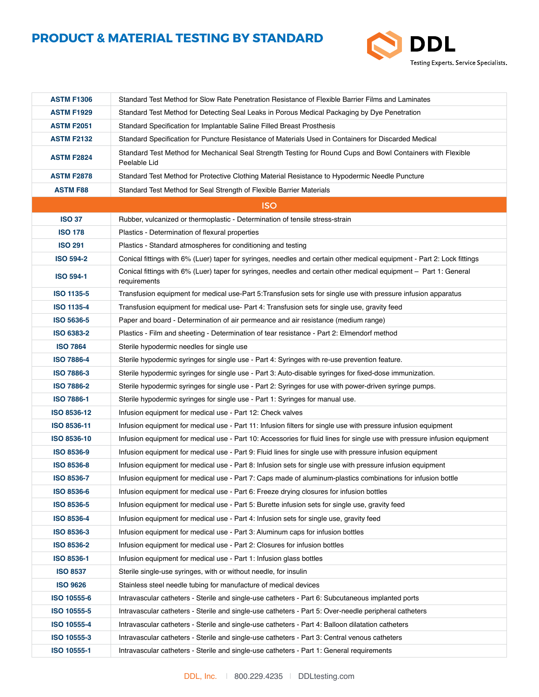

| <b>ASTM F1306</b> | Standard Test Method for Slow Rate Penetration Resistance of Flexible Barrier Films and Laminates                                 |
|-------------------|-----------------------------------------------------------------------------------------------------------------------------------|
| <b>ASTM F1929</b> | Standard Test Method for Detecting Seal Leaks in Porous Medical Packaging by Dye Penetration                                      |
| <b>ASTM F2051</b> | Standard Specification for Implantable Saline Filled Breast Prosthesis                                                            |
| <b>ASTM F2132</b> | Standard Specification for Puncture Resistance of Materials Used in Containers for Discarded Medical                              |
| <b>ASTM F2824</b> | Standard Test Method for Mechanical Seal Strength Testing for Round Cups and Bowl Containers with Flexible<br>Peelable Lid        |
| <b>ASTM F2878</b> | Standard Test Method for Protective Clothing Material Resistance to Hypodermic Needle Puncture                                    |
| <b>ASTM F88</b>   | Standard Test Method for Seal Strength of Flexible Barrier Materials                                                              |
|                   | <b>ISO</b>                                                                                                                        |
| <b>ISO 37</b>     | Rubber, vulcanized or thermoplastic - Determination of tensile stress-strain                                                      |
| <b>ISO 178</b>    | Plastics - Determination of flexural properties                                                                                   |
| <b>ISO 291</b>    | Plastics - Standard atmospheres for conditioning and testing                                                                      |
| <b>ISO 594-2</b>  | Conical fittings with 6% (Luer) taper for syringes, needles and certain other medical equipment - Part 2: Lock fittings           |
| <b>ISO 594-1</b>  | Conical fittings with 6% (Luer) taper for syringes, needles and certain other medical equipment - Part 1: General<br>requirements |
| <b>ISO 1135-5</b> | Transfusion equipment for medical use-Part 5: Transfusion sets for single use with pressure infusion apparatus                    |
| <b>ISO 1135-4</b> | Transfusion equipment for medical use- Part 4: Transfusion sets for single use, gravity feed                                      |
| <b>ISO 5636-5</b> | Paper and board - Determination of air permeance and air resistance (medium range)                                                |
| <b>ISO 6383-2</b> | Plastics - Film and sheeting - Determination of tear resistance - Part 2: Elmendorf method                                        |
| <b>ISO 7864</b>   | Sterile hypodermic needles for single use                                                                                         |
| <b>ISO 7886-4</b> | Sterile hypodermic syringes for single use - Part 4: Syringes with re-use prevention feature.                                     |
| <b>ISO 7886-3</b> | Sterile hypodermic syringes for single use - Part 3: Auto-disable syringes for fixed-dose immunization.                           |
| <b>ISO 7886-2</b> | Sterile hypodermic syringes for single use - Part 2: Syringes for use with power-driven syringe pumps.                            |
| <b>ISO 7886-1</b> | Sterile hypodermic syringes for single use - Part 1: Syringes for manual use.                                                     |
| ISO 8536-12       | Infusion equipment for medical use - Part 12: Check valves                                                                        |
| ISO 8536-11       | Infusion equipment for medical use - Part 11: Infusion filters for single use with pressure infusion equipment                    |
| ISO 8536-10       | Infusion equipment for medical use - Part 10: Accessories for fluid lines for single use with pressure infusion equipment         |
| <b>ISO 8536-9</b> | Infusion equipment for medical use - Part 9: Fluid lines for single use with pressure infusion equipment                          |
| <b>ISO 8536-8</b> | Infusion equipment for medical use - Part 8: Infusion sets for single use with pressure infusion equipment                        |
| <b>ISO 8536-7</b> | Infusion equipment for medical use - Part 7: Caps made of aluminum-plastics combinations for infusion bottle                      |
| ISO 8536-6        | Infusion equipment for medical use - Part 6: Freeze drying closures for infusion bottles                                          |
| <b>ISO 8536-5</b> | Infusion equipment for medical use - Part 5: Burette infusion sets for single use, gravity feed                                   |
| <b>ISO 8536-4</b> | Infusion equipment for medical use - Part 4: Infusion sets for single use, gravity feed                                           |
| ISO 8536-3        | Infusion equipment for medical use - Part 3: Aluminum caps for infusion bottles                                                   |
| <b>ISO 8536-2</b> | Infusion equipment for medical use - Part 2: Closures for infusion bottles                                                        |
| ISO 8536-1        | Infusion equipment for medical use - Part 1: Infusion glass bottles                                                               |
| <b>ISO 8537</b>   | Sterile single-use syringes, with or without needle, for insulin                                                                  |
| <b>ISO 9626</b>   | Stainless steel needle tubing for manufacture of medical devices                                                                  |
| ISO 10555-6       | Intravascular catheters - Sterile and single-use catheters - Part 6: Subcutaneous implanted ports                                 |
| ISO 10555-5       | Intravascular catheters - Sterile and single-use catheters - Part 5: Over-needle peripheral catheters                             |
| ISO 10555-4       | Intravascular catheters - Sterile and single-use catheters - Part 4: Balloon dilatation catheters                                 |
| ISO 10555-3       | Intravascular catheters - Sterile and single-use catheters - Part 3: Central venous catheters                                     |
| ISO 10555-1       | Intravascular catheters - Sterile and single-use catheters - Part 1: General requirements                                         |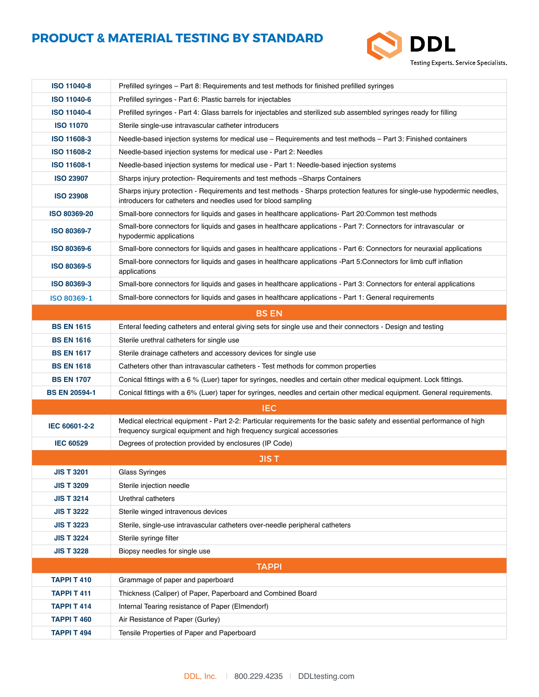

| <b>ISO 11040-8</b>   | Prefilled syringes – Part 8: Requirements and test methods for finished prefilled syringes                                                                                                      |  |  |
|----------------------|-------------------------------------------------------------------------------------------------------------------------------------------------------------------------------------------------|--|--|
| <b>ISO 11040-6</b>   | Prefilled syringes - Part 6: Plastic barrels for injectables                                                                                                                                    |  |  |
| <b>ISO 11040-4</b>   | Prefilled syringes - Part 4: Glass barrels for injectables and sterilized sub assembled syringes ready for filling                                                                              |  |  |
| <b>ISO 11070</b>     | Sterile single-use intravascular catheter introducers                                                                                                                                           |  |  |
| ISO 11608-3          | Needle-based injection systems for medical use - Requirements and test methods - Part 3: Finished containers                                                                                    |  |  |
| <b>ISO 11608-2</b>   | Needle-based injection systems for medical use - Part 2: Needles                                                                                                                                |  |  |
| ISO 11608-1          | Needle-based injection systems for medical use - Part 1: Needle-based injection systems                                                                                                         |  |  |
| <b>ISO 23907</b>     | Sharps injury protection- Requirements and test methods -Sharps Containers                                                                                                                      |  |  |
| <b>ISO 23908</b>     | Sharps injury protection - Requirements and test methods - Sharps protection features for single-use hypodermic needles,<br>introducers for catheters and needles used for blood sampling       |  |  |
| ISO 80369-20         | Small-bore connectors for liquids and gases in healthcare applications- Part 20:Common test methods                                                                                             |  |  |
| ISO 80369-7          | Small-bore connectors for liquids and gases in healthcare applications - Part 7: Connectors for intravascular or<br>hypodermic applications                                                     |  |  |
| <b>ISO 80369-6</b>   | Small-bore connectors for liquids and gases in healthcare applications - Part 6: Connectors for neuraxial applications                                                                          |  |  |
| ISO 80369-5          | Small-bore connectors for liquids and gases in healthcare applications -Part 5:Connectors for limb cuff inflation<br>applications                                                               |  |  |
| ISO 80369-3          | Small-bore connectors for liquids and gases in healthcare applications - Part 3: Connectors for enteral applications                                                                            |  |  |
| ISO 80369-1          | Small-bore connectors for liquids and gases in healthcare applications - Part 1: General requirements                                                                                           |  |  |
|                      | <b>BS EN</b>                                                                                                                                                                                    |  |  |
| <b>BS EN 1615</b>    | Enteral feeding catheters and enteral giving sets for single use and their connectors - Design and testing                                                                                      |  |  |
| <b>BS EN 1616</b>    | Sterile urethral catheters for single use                                                                                                                                                       |  |  |
| <b>BS EN 1617</b>    | Sterile drainage catheters and accessory devices for single use                                                                                                                                 |  |  |
| <b>BS EN 1618</b>    | Catheters other than intravascular catheters - Test methods for common properties                                                                                                               |  |  |
| <b>BS EN 1707</b>    | Conical fittings with a 6 % (Luer) taper for syringes, needles and certain other medical equipment. Lock fittings.                                                                              |  |  |
| <b>BS EN 20594-1</b> | Conical fittings with a 6% (Luer) taper for syringes, needles and certain other medical equipment. General requirements.                                                                        |  |  |
|                      | <b>IEC</b>                                                                                                                                                                                      |  |  |
| IEC 60601-2-2        | Medical electrical equipment - Part 2-2: Particular requirements for the basic safety and essential performance of high<br>frequency surgical equipment and high frequency surgical accessories |  |  |
| <b>IEC 60529</b>     | Degrees of protection provided by enclosures (IP Code)                                                                                                                                          |  |  |
|                      | <b>JIST</b>                                                                                                                                                                                     |  |  |
| <b>JIS T 3201</b>    | Glass Syringes                                                                                                                                                                                  |  |  |
| <b>JIS T 3209</b>    | Sterile injection needle                                                                                                                                                                        |  |  |
| <b>JIS T 3214</b>    | Urethral catheters                                                                                                                                                                              |  |  |
| <b>JIS T 3222</b>    | Sterile winged intravenous devices                                                                                                                                                              |  |  |
| <b>JIS T 3223</b>    | Sterile, single-use intravascular catheters over-needle peripheral catheters                                                                                                                    |  |  |
| <b>JIS T 3224</b>    | Sterile syringe filter                                                                                                                                                                          |  |  |
| <b>JIS T 3228</b>    | Biopsy needles for single use                                                                                                                                                                   |  |  |
|                      | <b>TAPPI</b>                                                                                                                                                                                    |  |  |
| <b>TAPPI T 410</b>   | Grammage of paper and paperboard                                                                                                                                                                |  |  |
| <b>TAPPI T 411</b>   | Thickness (Caliper) of Paper, Paperboard and Combined Board                                                                                                                                     |  |  |
| <b>TAPPI T 414</b>   | Internal Tearing resistance of Paper (Elmendorf)                                                                                                                                                |  |  |
| <b>TAPPI T 460</b>   | Air Resistance of Paper (Gurley)                                                                                                                                                                |  |  |
| <b>TAPPI T 494</b>   | Tensile Properties of Paper and Paperboard                                                                                                                                                      |  |  |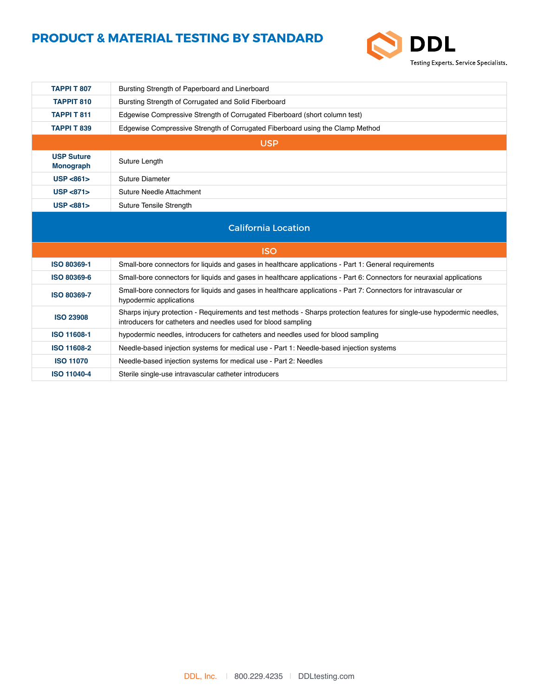

| <b>TAPPI T 807</b>                    | Bursting Strength of Paperboard and Linerboard                                                                                                                                            |  |
|---------------------------------------|-------------------------------------------------------------------------------------------------------------------------------------------------------------------------------------------|--|
| <b>TAPPIT 810</b>                     | Bursting Strength of Corrugated and Solid Fiberboard                                                                                                                                      |  |
| <b>TAPPI T 811</b>                    | Edgewise Compressive Strength of Corrugated Fiberboard (short column test)                                                                                                                |  |
| <b>TAPPI T 839</b>                    | Edgewise Compressive Strength of Corrugated Fiberboard using the Clamp Method                                                                                                             |  |
| <b>USP</b>                            |                                                                                                                                                                                           |  |
| <b>USP Suture</b><br><b>Monograph</b> | Suture Length                                                                                                                                                                             |  |
| USP < 861                             | <b>Suture Diameter</b>                                                                                                                                                                    |  |
| USP < 871                             | Suture Needle Attachment                                                                                                                                                                  |  |
| USP < 881                             | Suture Tensile Strength                                                                                                                                                                   |  |
| <b>California Location</b>            |                                                                                                                                                                                           |  |
|                                       | <b>ISO</b>                                                                                                                                                                                |  |
| ISO 80369-1                           | Small-bore connectors for liquids and gases in healthcare applications - Part 1: General requirements                                                                                     |  |
| <b>ISO 80369-6</b>                    | Small-bore connectors for liquids and gases in healthcare applications - Part 6: Connectors for neuraxial applications                                                                    |  |
| <b>ISO 80369-7</b>                    | Small-bore connectors for liquids and gases in healthcare applications - Part 7: Connectors for intravascular or<br>hypodermic applications                                               |  |
| <b>ISO 23908</b>                      | Sharps injury protection - Requirements and test methods - Sharps protection features for single-use hypodermic needles,<br>introducers for catheters and needles used for blood sampling |  |
| ISO 11608-1                           | hypodermic needles, introducers for catheters and needles used for blood sampling                                                                                                         |  |
| <b>ISO 11608-2</b>                    | Needle-based injection systems for medical use - Part 1: Needle-based injection systems                                                                                                   |  |
| <b>ISO 11070</b>                      | Needle-based injection systems for medical use - Part 2: Needles                                                                                                                          |  |
| <b>ISO 11040-4</b>                    | Sterile single-use intravascular catheter introducers                                                                                                                                     |  |